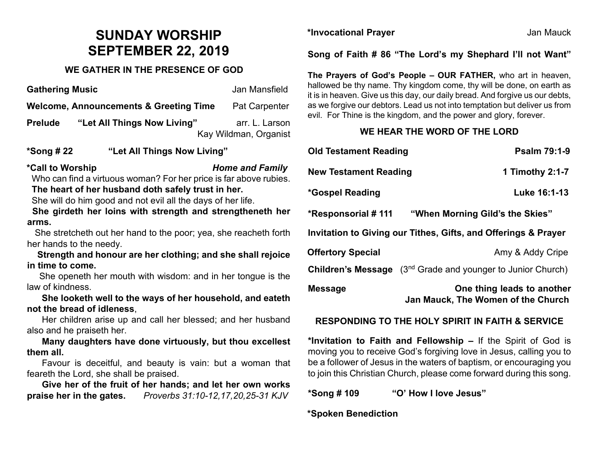# **SUNDAY WORSHIP SEPTEMBER 22, 2019**

### **WE GATHER IN THE PRESENCE OF GOD**

**Gathering Music Community Contracts Community Contracts Contracts Contracts Contracts Contracts Contracts Contracts Contracts Contracts Contracts Contracts Contracts Contracts Contracts Contracts Contracts Contracts Contr Welcome, Announcements & Greeting Time Pat Carpenter Prelude "Let All Things Now Living"** arr. L. Larson

Kay Wildman, Organist

#### **\*Song # 22 "Let All Things Now Living"**

**\*Call to Worship** *Home and Family*

 Who can find a virtuous woman? For her price is far above rubies. **The heart of her husband doth safely trust in her.** 

She will do him good and not evil all the days of her life.

 **She girdeth her loins with strength and strengtheneth her arms.**

 She stretcheth out her hand to the poor; yea, she reacheth forth her hands to the needy.

 **Strength and honour are her clothing; and she shall rejoice in time to come.**

 She openeth her mouth with wisdom: and in her tongue is the law of kindness.

 **She looketh well to the ways of her household, and eateth not the bread of idleness**,

 Her children arise up and call her blessed; and her husband also and he praiseth her.

 **Many daughters have done virtuously, but thou excellest them all.**

 Favour is deceitful, and beauty is vain: but a woman that feareth the Lord, she shall be praised.

 **Give her of the fruit of her hands; and let her own works praise her in the gates.** *Proverbs 31:10-12,17,20,25-31 KJV*

**\*Invocational Prayer** Jan Mauck

**Song of Faith # 86 "The Lord's my Shephard I'll not Want"**

**The Prayers of God's People – OUR FATHER,** who art in heaven, hallowed be thy name. Thy kingdom come, thy will be done, on earth as it is in heaven. Give us this day, our daily bread. And forgive us our debts, as we forgive our debtors. Lead us not into temptation but deliver us from evil. For Thine is the kingdom, and the power and glory, forever.

## **WE HEAR THE WORD OF THE LORD**

| <b>Old Testament Reading</b>                                   | <b>Psalm 79:1-9</b>                                                            |
|----------------------------------------------------------------|--------------------------------------------------------------------------------|
| <b>New Testament Reading</b>                                   | 1 Timothy 2:1-7                                                                |
| *Gospel Reading                                                | Luke 16:1-13                                                                   |
|                                                                | "When Morning Gild's the Skies"                                                |
| Invitation to Giving our Tithes, Gifts, and Offerings & Prayer |                                                                                |
| <b>Offertory Special</b>                                       | Amy & Addy Cripe                                                               |
|                                                                | <b>Children's Message</b> (3 <sup>nd</sup> Grade and younger to Junior Church) |
| <b>Message</b>                                                 | One thing leads to another<br>Jan Mauck, The Women of the Church               |

#### **RESPONDING TO THE HOLY SPIRIT IN FAITH & SERVICE**

**\*Invitation to Faith and Fellowship –** If the Spirit of God is moving you to receive God's forgiving love in Jesus, calling you to be a follower of Jesus in the waters of baptism, or encouraging you to join this Christian Church, please come forward during this song.

**\*Song # 109 "O' How I love Jesus"**

**\*Spoken Benediction**